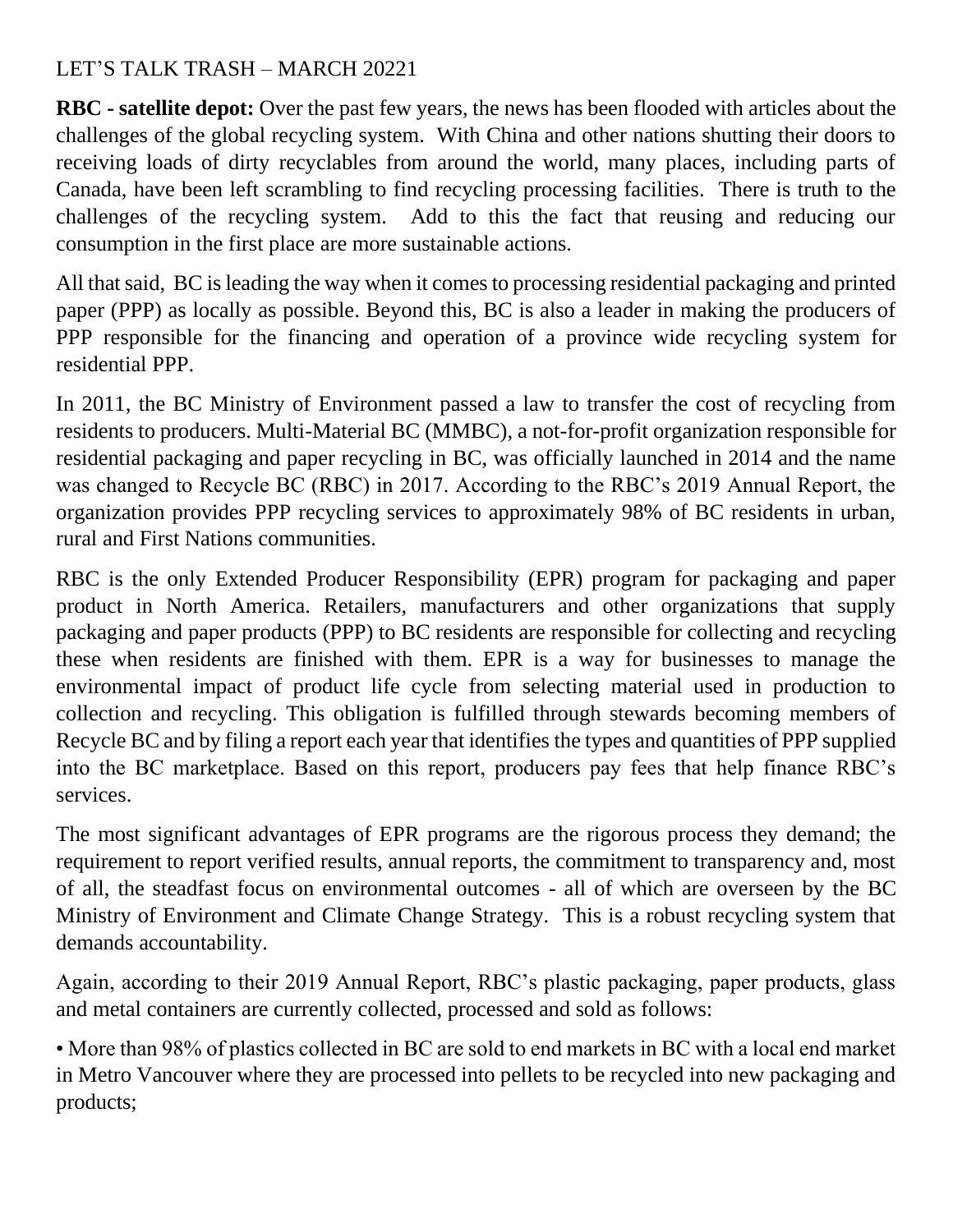## LET'S TALK TRASH – MARCH 20221

**RBC - satellite depot:** Over the past few years, the news has been flooded with articles about the challenges of the global recycling system. With China and other nations shutting their doors to receiving loads of dirty recyclables from around the world, many places, including parts of Canada, have been left scrambling to find recycling processing facilities. There is truth to the challenges of the recycling system. Add to this the fact that reusing and reducing our consumption in the first place are more sustainable actions.

All that said, BC is leading the way when it comes to processing residential packaging and printed paper (PPP) as locally as possible. Beyond this, BC is also a leader in making the producers of PPP responsible for the financing and operation of a province wide recycling system for residential PPP.

In 2011, the BC Ministry of Environment passed a law to transfer the cost of recycling from residents to producers. Multi-Material BC (MMBC), a not-for-profit organization responsible for residential packaging and paper recycling in BC, was officially launched in 2014 and the name was changed to Recycle BC (RBC) in 2017. According to the RBC's 2019 Annual Report, the organization provides PPP recycling services to approximately 98% of BC residents in urban, rural and First Nations communities.

RBC is the only Extended Producer Responsibility (EPR) program for packaging and paper product in North America. Retailers, manufacturers and other organizations that supply packaging and paper products (PPP) to BC residents are responsible for collecting and recycling these when residents are finished with them. EPR is a way for businesses to manage the environmental impact of product life cycle from selecting material used in production to collection and recycling. This obligation is fulfilled through stewards becoming members of Recycle BC and by filing a report each year that identifies the types and quantities of PPP supplied into the BC marketplace. Based on this report, producers pay fees that help finance RBC's services.

The most significant advantages of EPR programs are the rigorous process they demand; the requirement to report verified results, annual reports, the commitment to transparency and, most of all, the steadfast focus on environmental outcomes - all of which are overseen by the BC Ministry of Environment and Climate Change Strategy. This is a robust recycling system that demands accountability.

Again, according to their 2019 Annual Report, RBC's plastic packaging, paper products, glass and metal containers are currently collected, processed and sold as follows:

• More than 98% of plastics collected in BC are sold to end markets in BC with a local end market in Metro Vancouver where they are processed into pellets to be recycled into new packaging and products;